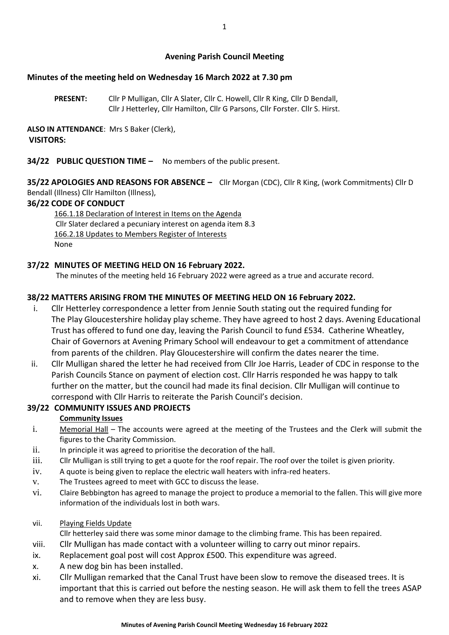## **Avening Parish Council Meeting**

## **Minutes of the meeting held on Wednesday 16 March 2022 at 7.30 pm**

**PRESENT:** Cllr P Mulligan, Cllr A Slater, Cllr C. Howell, Cllr R King, Cllr D Bendall, Cllr J Hetterley, Cllr Hamilton, Cllr G Parsons, Cllr Forster. Cllr S. Hirst.

**ALSO IN ATTENDANCE**: Mrs S Baker (Clerk), **VISITORS:**

### **34/22 PUBLIC QUESTION TIME –** No members of the public present.

**35/22 APOLOGIES AND REASONS FOR ABSENCE –** Cllr Morgan (CDC), Cllr R King, (work Commitments) Cllr D Bendall (Illness) Cllr Hamilton (Illness),

### **36/22 CODE OF CONDUCT**

166.1.18 Declaration of Interest in Items on the Agenda Cllr Slater declared a pecuniary interest on agenda item 8.3 166.2.18 Updates to Members Register of Interests None

### **37/22 MINUTES OF MEETING HELD ON 16 February 2022.**

The minutes of the meeting held 16 February 2022 were agreed as a true and accurate record.

## **38/22 MATTERS ARISING FROM THE MINUTES OF MEETING HELD ON 16 February 2022.**

- i. Cllr Hetterley correspondence a letter from Jennie South stating out the required funding for The Play Gloucestershire holiday play scheme. They have agreed to host 2 days. Avening Educational Trust has offered to fund one day, leaving the Parish Council to fund £534. Catherine Wheatley, Chair of Governors at Avening Primary School will endeavour to get a commitment of attendance from parents of the children. Play Gloucestershire will confirm the dates nearer the time.
- ii. Cllr Mulligan shared the letter he had received from Cllr Joe Harris, Leader of CDC in response to the Parish Councils Stance on payment of election cost. Cllr Harris responded he was happy to talk further on the matter, but the council had made its final decision. Cllr Mulligan will continue to correspond with Cllr Harris to reiterate the Parish Council's decision.

### **39/22 COMMUNITY ISSUES AND PROJECTS**

### **Community Issues**

- i. Memorial Hall The accounts were agreed at the meeting of the Trustees and the Clerk will submit the figures to the Charity Commission.
- ii. In principle it was agreed to prioritise the decoration of the hall.
- iii. Cllr Mulligan is still trying to get a quote for the roof repair. The roof over the toilet is given priority.
- iv. A quote is being given to replace the electric wall heaters with infra-red heaters.
- v. The Trustees agreed to meet with GCC to discuss the lease.
- vi. Claire Bebbington has agreed to manage the project to produce a memorial to the fallen. This will give more information of the individuals lost in both wars.
- vii. Playing Fields Update

Cllr hetterley said there was some minor damage to the climbing frame. This has been repaired.

- viii. Cllr Mulligan has made contact with a volunteer willing to carry out minor repairs.
- ix. Replacement goal post will cost Approx £500. This expenditure was agreed.
- x. A new dog bin has been installed.
- xi. Cllr Mulligan remarked that the Canal Trust have been slow to remove the diseased trees. It is important that this is carried out before the nesting season. He will ask them to fell the trees ASAP and to remove when they are less busy.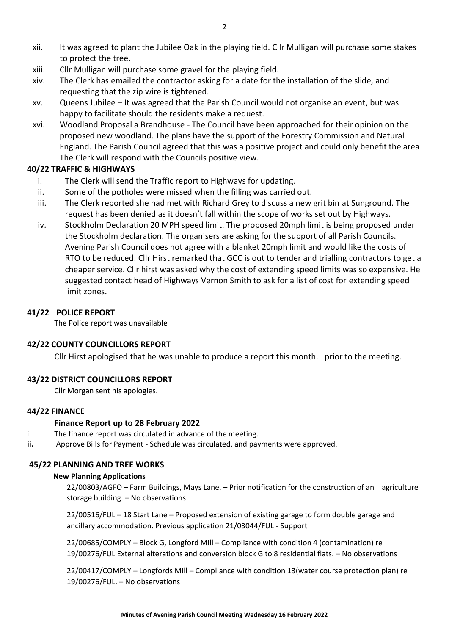- xii. It was agreed to plant the Jubilee Oak in the playing field. Cllr Mulligan will purchase some stakes to protect the tree.
- xiii. Cllr Mulligan will purchase some gravel for the playing field.
- xiv. The Clerk has emailed the contractor asking for a date for the installation of the slide, and requesting that the zip wire is tightened.
- xv. Queens Jubilee It was agreed that the Parish Council would not organise an event, but was happy to facilitate should the residents make a request.
- xvi. Woodland Proposal a Brandhouse The Council have been approached for their opinion on the proposed new woodland. The plans have the support of the Forestry Commission and Natural England. The Parish Council agreed that this was a positive project and could only benefit the area The Clerk will respond with the Councils positive view.

# **40/22 TRAFFIC & HIGHWAYS**

- i. The Clerk will send the Traffic report to Highways for updating.
- ii. Some of the potholes were missed when the filling was carried out.
- iii. The Clerk reported she had met with Richard Grey to discuss a new grit bin at Sunground. The request has been denied as it doesn't fall within the scope of works set out by Highways.
- iv. Stockholm Declaration 20 MPH speed limit. The proposed 20mph limit is being proposed under the Stockholm declaration. The organisers are asking for the support of all Parish Councils. Avening Parish Council does not agree with a blanket 20mph limit and would like the costs of RTO to be reduced. Cllr Hirst remarked that GCC is out to tender and trialling contractors to get a cheaper service. Cllr hirst was asked why the cost of extending speed limits was so expensive. He suggested contact head of Highways Vernon Smith to ask for a list of cost for extending speed limit zones.

# **41/22 POLICE REPORT**

The Police report was unavailable

# **42/22 COUNTY COUNCILLORS REPORT**

Cllr Hirst apologised that he was unable to produce a report this month. prior to the meeting.

# **43/22 DISTRICT COUNCILLORS REPORT**

Cllr Morgan sent his apologies.

### **44/22 FINANCE**

# **Finance Report up to 28 February 2022**

- i. The finance report was circulated in advance of the meeting.
- **ii.** Approve Bills for Payment Schedule was circulated, and payments were approved.

### **45/22 PLANNING AND TREE WORKS**

### **New Planning Applications**

22/00803/AGFO – Farm Buildings, Mays Lane. – Prior notification for the construction of an agriculture storage building. – No observations

22/00516/FUL – 18 Start Lane – Proposed extension of existing garage to form double garage and ancillary accommodation. Previous application 21/03044/FUL - Support

22/00685/COMPLY – Block G, Longford Mill – Compliance with condition 4 (contamination) re 19/00276/FUL External alterations and conversion block G to 8 residential flats. – No observations

22/00417/COMPLY – Longfords Mill – Compliance with condition 13(water course protection plan) re 19/00276/FUL. – No observations